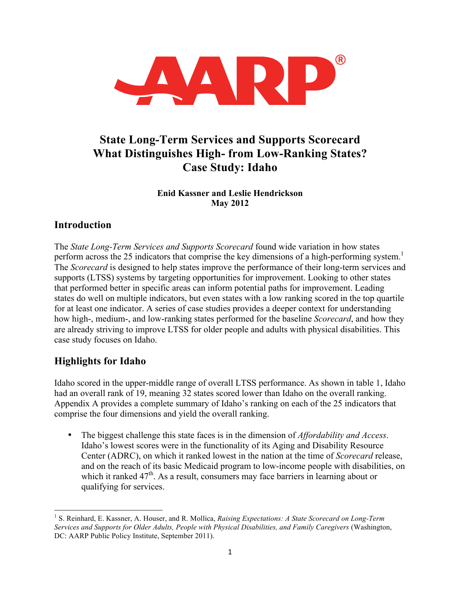

# **State Long-Term Services and Supports Scorecard What Distinguishes High- from Low-Ranking States? Case Study: Idaho**

#### **Enid Kassner and Leslie Hendrickson May 2012**

## **Introduction**

The *State Long-Term Services and Supports Scorecard* found wide variation in how states perform across the 25 indicators that comprise the key dimensions of a high-performing system.<sup>1</sup> The *Scorecard* is designed to help states improve the performance of their long-term services and supports (LTSS) systems by targeting opportunities for improvement. Looking to other states that performed better in specific areas can inform potential paths for improvement. Leading states do well on multiple indicators, but even states with a low ranking scored in the top quartile for at least one indicator. A series of case studies provides a deeper context for understanding how high-, medium-, and low-ranking states performed for the baseline *Scorecard*, and how they are already striving to improve LTSS for older people and adults with physical disabilities. This case study focuses on Idaho.

## **Highlights for Idaho**

Idaho scored in the upper-middle range of overall LTSS performance. As shown in table 1, Idaho had an overall rank of 19, meaning 32 states scored lower than Idaho on the overall ranking. Appendix A provides a complete summary of Idaho's ranking on each of the 25 indicators that comprise the four dimensions and yield the overall ranking.

• The biggest challenge this state faces is in the dimension of *Affordability and Access*. Idaho's lowest scores were in the functionality of its Aging and Disability Resource Center (ADRC), on which it ranked lowest in the nation at the time of *Scorecard* release, and on the reach of its basic Medicaid program to low-income people with disabilities, on which it ranked  $47<sup>th</sup>$ . As a result, consumers may face barriers in learning about or qualifying for services.

 <sup>1</sup> S. Reinhard, E. Kassner, A. Houser, and R. Mollica, *Raising Expectations: A State Scorecard on Long-Term Services and Supports for Older Adults, People with Physical Disabilities, and Family Caregivers* (Washington, DC: AARP Public Policy Institute, September 2011).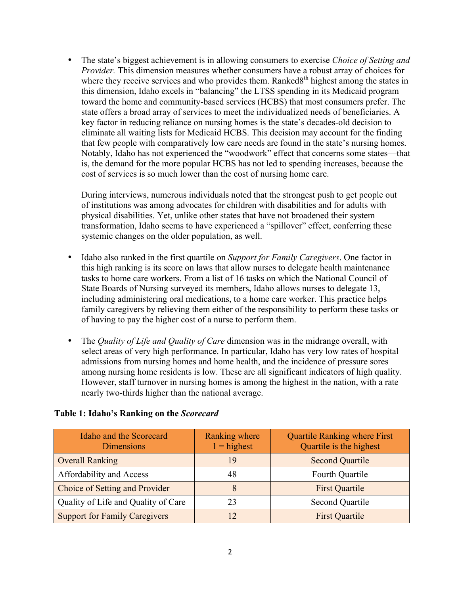• The state's biggest achievement is in allowing consumers to exercise *Choice of Setting and Provider.* This dimension measures whether consumers have a robust array of choices for where they receive services and who provides them. Ranked $8<sup>th</sup>$  highest among the states in this dimension, Idaho excels in "balancing" the LTSS spending in its Medicaid program toward the home and community-based services (HCBS) that most consumers prefer. The state offers a broad array of services to meet the individualized needs of beneficiaries. A key factor in reducing reliance on nursing homes is the state's decades-old decision to eliminate all waiting lists for Medicaid HCBS. This decision may account for the finding that few people with comparatively low care needs are found in the state's nursing homes. Notably, Idaho has not experienced the "woodwork" effect that concerns some states—that is, the demand for the more popular HCBS has not led to spending increases, because the cost of services is so much lower than the cost of nursing home care.

During interviews, numerous individuals noted that the strongest push to get people out of institutions was among advocates for children with disabilities and for adults with physical disabilities. Yet, unlike other states that have not broadened their system transformation, Idaho seems to have experienced a "spillover" effect, conferring these systemic changes on the older population, as well.

- Idaho also ranked in the first quartile on *Support for Family Caregivers*. One factor in this high ranking is its score on laws that allow nurses to delegate health maintenance tasks to home care workers. From a list of 16 tasks on which the National Council of State Boards of Nursing surveyed its members, Idaho allows nurses to delegate 13, including administering oral medications, to a home care worker. This practice helps family caregivers by relieving them either of the responsibility to perform these tasks or of having to pay the higher cost of a nurse to perform them.
- The *Quality of Life and Quality of Care* dimension was in the midrange overall, with select areas of very high performance. In particular, Idaho has very low rates of hospital admissions from nursing homes and home health, and the incidence of pressure sores among nursing home residents is low. These are all significant indicators of high quality. However, staff turnover in nursing homes is among the highest in the nation, with a rate nearly two-thirds higher than the national average.

| Idaho and the Scorecard<br><b>Dimensions</b> | Ranking where<br>$1 =$ highest | <b>Quartile Ranking where First</b><br>Quartile is the highest |
|----------------------------------------------|--------------------------------|----------------------------------------------------------------|
| <b>Overall Ranking</b>                       | 19                             | <b>Second Quartile</b>                                         |
| Affordability and Access                     | 48                             | Fourth Quartile                                                |
| Choice of Setting and Provider               | 8                              | <b>First Quartile</b>                                          |
| Quality of Life and Quality of Care          | 23                             | <b>Second Quartile</b>                                         |
| <b>Support for Family Caregivers</b>         |                                | <b>First Quartile</b>                                          |

#### **Table 1: Idaho's Ranking on the** *Scorecard*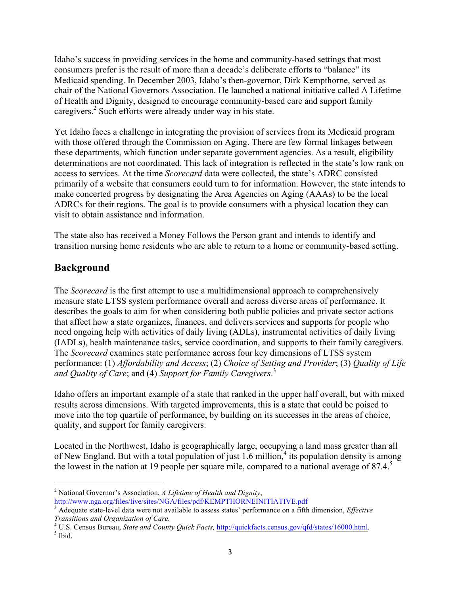Idaho's success in providing services in the home and community-based settings that most consumers prefer is the result of more than a decade's deliberate efforts to "balance" its Medicaid spending. In December 2003, Idaho's then-governor, Dirk Kempthorne, served as chair of the National Governors Association. He launched a national initiative called A Lifetime of Health and Dignity, designed to encourage community-based care and support family caregivers.<sup>2</sup> Such efforts were already under way in his state.

Yet Idaho faces a challenge in integrating the provision of services from its Medicaid program with those offered through the Commission on Aging. There are few formal linkages between these departments, which function under separate government agencies. As a result, eligibility determinations are not coordinated. This lack of integration is reflected in the state's low rank on access to services. At the time *Scorecard* data were collected, the state's ADRC consisted primarily of a website that consumers could turn to for information. However, the state intends to make concerted progress by designating the Area Agencies on Aging (AAAs) to be the local ADRCs for their regions. The goal is to provide consumers with a physical location they can visit to obtain assistance and information.

The state also has received a Money Follows the Person grant and intends to identify and transition nursing home residents who are able to return to a home or community-based setting.

## **Background**

The *Scorecard* is the first attempt to use a multidimensional approach to comprehensively measure state LTSS system performance overall and across diverse areas of performance. It describes the goals to aim for when considering both public policies and private sector actions that affect how a state organizes, finances, and delivers services and supports for people who need ongoing help with activities of daily living (ADLs), instrumental activities of daily living (IADLs), health maintenance tasks, service coordination, and supports to their family caregivers. The *Scorecard* examines state performance across four key dimensions of LTSS system performance: (1) *Affordability and Access*; (2) *Choice of Setting and Provider*; (3) *Quality of Life and Quality of Care*; and (4) *Support for Family Caregivers*. 3

Idaho offers an important example of a state that ranked in the upper half overall, but with mixed results across dimensions. With targeted improvements, this is a state that could be poised to move into the top quartile of performance, by building on its successes in the areas of choice, quality, and support for family caregivers.

Located in the Northwest, Idaho is geographically large, occupying a land mass greater than all of New England. But with a total population of just  $1.6$  million, $4$  its population density is among the lowest in the nation at 19 people per square mile, compared to a national average of  $87.4<sup>5</sup>$ 

 <sup>2</sup> National Governor's Association, *A Lifetime of Health and Dignity*, http://www.nga.org/files/live/sites/NGA/files/pdf/KEMPTHORNEINITIATIVE.pdf

<sup>3</sup> Adequate state-level data were not available to assess states' performance on a fifth dimension, *Effective* 

*Transitions and Organization of Care.* 4 U.S. Census Bureau, *State and County Quick Facts*, *http://quickfacts.census.gov/qfd/states/16000.html*. <sup>5</sup> Ibid.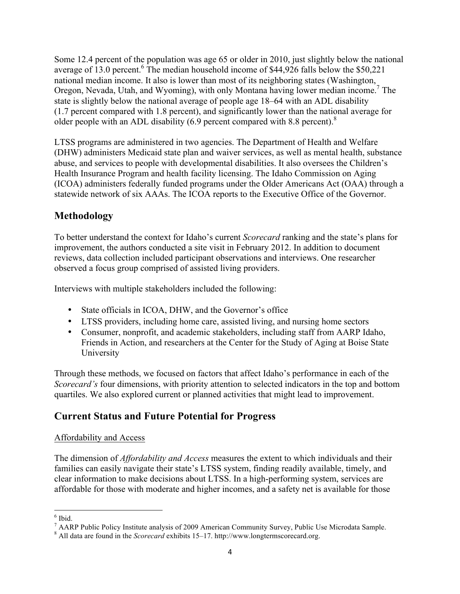Some 12.4 percent of the population was age 65 or older in 2010, just slightly below the national average of 13.0 percent.<sup>6</sup> The median household income of \$44,926 falls below the \$50,221 national median income. It also is lower than most of its neighboring states (Washington, Oregon, Nevada, Utah, and Wyoming), with only Montana having lower median income.7 The state is slightly below the national average of people age 18–64 with an ADL disability (1.7 percent compared with 1.8 percent), and significantly lower than the national average for older people with an ADL disability (6.9 percent compared with 8.8 percent).<sup>8</sup>

LTSS programs are administered in two agencies. The Department of Health and Welfare (DHW) administers Medicaid state plan and waiver services, as well as mental health, substance abuse, and services to people with developmental disabilities. It also oversees the Children's Health Insurance Program and health facility licensing. The Idaho Commission on Aging (ICOA) administers federally funded programs under the Older Americans Act (OAA) through a statewide network of six AAAs. The ICOA reports to the Executive Office of the Governor.

## **Methodology**

To better understand the context for Idaho's current *Scorecard* ranking and the state's plans for improvement, the authors conducted a site visit in February 2012. In addition to document reviews, data collection included participant observations and interviews. One researcher observed a focus group comprised of assisted living providers.

Interviews with multiple stakeholders included the following:

- State officials in ICOA, DHW, and the Governor's office
- LTSS providers, including home care, assisted living, and nursing home sectors
- Consumer, nonprofit, and academic stakeholders, including staff from AARP Idaho, Friends in Action, and researchers at the Center for the Study of Aging at Boise State University

Through these methods, we focused on factors that affect Idaho's performance in each of the *Scorecard's* four dimensions, with priority attention to selected indicators in the top and bottom quartiles. We also explored current or planned activities that might lead to improvement.

## **Current Status and Future Potential for Progress**

#### Affordability and Access

The dimension of *Affordability and Access* measures the extent to which individuals and their families can easily navigate their state's LTSS system, finding readily available, timely, and clear information to make decisions about LTSS. In a high-performing system, services are affordable for those with moderate and higher incomes, and a safety net is available for those

 $6$  Ibid.

<sup>7</sup> AARP Public Policy Institute analysis of 2009 American Community Survey, Public Use Microdata Sample. <sup>8</sup> All data are found in the *Scorecard* exhibits 15–17. http://www.longtermscorecard.org.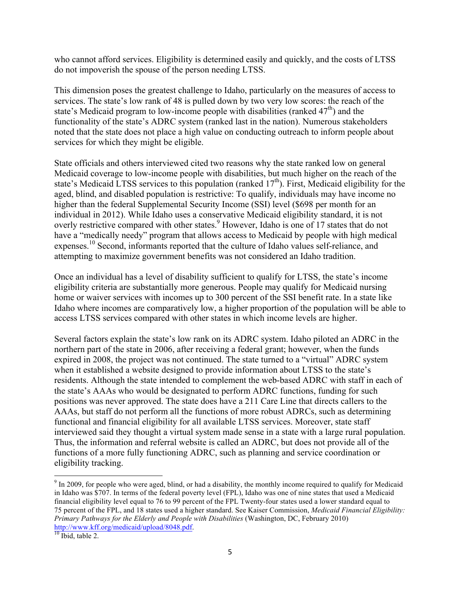who cannot afford services. Eligibility is determined easily and quickly, and the costs of LTSS do not impoverish the spouse of the person needing LTSS.

This dimension poses the greatest challenge to Idaho, particularly on the measures of access to services. The state's low rank of 48 is pulled down by two very low scores: the reach of the state's Medicaid program to low-income people with disabilities (ranked  $47<sup>th</sup>$ ) and the functionality of the state's ADRC system (ranked last in the nation). Numerous stakeholders noted that the state does not place a high value on conducting outreach to inform people about services for which they might be eligible.

State officials and others interviewed cited two reasons why the state ranked low on general Medicaid coverage to low-income people with disabilities, but much higher on the reach of the state's Medicaid LTSS services to this population (ranked  $17<sup>th</sup>$ ). First, Medicaid eligibility for the aged, blind, and disabled population is restrictive: To qualify, individuals may have income no higher than the federal Supplemental Security Income (SSI) level (\$698 per month for an individual in 2012). While Idaho uses a conservative Medicaid eligibility standard, it is not overly restrictive compared with other states.<sup>9</sup> However, Idaho is one of 17 states that do not have a "medically needy" program that allows access to Medicaid by people with high medical expenses.<sup>10</sup> Second, informants reported that the culture of Idaho values self-reliance, and attempting to maximize government benefits was not considered an Idaho tradition.

Once an individual has a level of disability sufficient to qualify for LTSS, the state's income eligibility criteria are substantially more generous. People may qualify for Medicaid nursing home or waiver services with incomes up to 300 percent of the SSI benefit rate. In a state like Idaho where incomes are comparatively low, a higher proportion of the population will be able to access LTSS services compared with other states in which income levels are higher.

Several factors explain the state's low rank on its ADRC system. Idaho piloted an ADRC in the northern part of the state in 2006, after receiving a federal grant; however, when the funds expired in 2008, the project was not continued. The state turned to a "virtual" ADRC system when it established a website designed to provide information about LTSS to the state's residents. Although the state intended to complement the web-based ADRC with staff in each of the state's AAAs who would be designated to perform ADRC functions, funding for such positions was never approved. The state does have a 211 Care Line that directs callers to the AAAs, but staff do not perform all the functions of more robust ADRCs, such as determining functional and financial eligibility for all available LTSS services. Moreover, state staff interviewed said they thought a virtual system made sense in a state with a large rural population. Thus, the information and referral website is called an ADRC, but does not provide all of the functions of a more fully functioning ADRC, such as planning and service coordination or eligibility tracking.

<sup>&</sup>lt;sup>9</sup> In 2009, for people who were aged, blind, or had a disability, the monthly income required to qualify for Medicaid in Idaho was \$707. In terms of the federal poverty level (FPL), Idaho was one of nine states that used a Medicaid financial eligibility level equal to 76 to 99 percent of the FPL Twenty-four states used a lower standard equal to 75 percent of the FPL, and 18 states used a higher standard. See Kaiser Commission, *Medicaid Financial Eligibility: Primary Pathways for the Elderly and People with Disabilities* (Washington, DC, February 2010) http://www.kff.org/medicaid/upload/8048.pdf.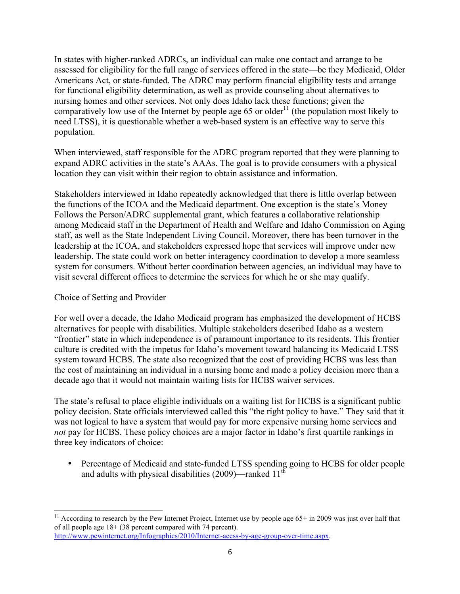In states with higher-ranked ADRCs, an individual can make one contact and arrange to be assessed for eligibility for the full range of services offered in the state—be they Medicaid, Older Americans Act, or state-funded. The ADRC may perform financial eligibility tests and arrange for functional eligibility determination, as well as provide counseling about alternatives to nursing homes and other services. Not only does Idaho lack these functions; given the comparatively low use of the Internet by people age 65 or older<sup>11</sup> (the population most likely to need LTSS), it is questionable whether a web-based system is an effective way to serve this population.

When interviewed, staff responsible for the ADRC program reported that they were planning to expand ADRC activities in the state's AAAs. The goal is to provide consumers with a physical location they can visit within their region to obtain assistance and information.

Stakeholders interviewed in Idaho repeatedly acknowledged that there is little overlap between the functions of the ICOA and the Medicaid department. One exception is the state's Money Follows the Person/ADRC supplemental grant, which features a collaborative relationship among Medicaid staff in the Department of Health and Welfare and Idaho Commission on Aging staff, as well as the State Independent Living Council. Moreover, there has been turnover in the leadership at the ICOA, and stakeholders expressed hope that services will improve under new leadership. The state could work on better interagency coordination to develop a more seamless system for consumers. Without better coordination between agencies, an individual may have to visit several different offices to determine the services for which he or she may qualify.

#### Choice of Setting and Provider

For well over a decade, the Idaho Medicaid program has emphasized the development of HCBS alternatives for people with disabilities. Multiple stakeholders described Idaho as a western "frontier" state in which independence is of paramount importance to its residents. This frontier culture is credited with the impetus for Idaho's movement toward balancing its Medicaid LTSS system toward HCBS. The state also recognized that the cost of providing HCBS was less than the cost of maintaining an individual in a nursing home and made a policy decision more than a decade ago that it would not maintain waiting lists for HCBS waiver services.

The state's refusal to place eligible individuals on a waiting list for HCBS is a significant public policy decision. State officials interviewed called this "the right policy to have." They said that it was not logical to have a system that would pay for more expensive nursing home services and *not* pay for HCBS. These policy choices are a major factor in Idaho's first quartile rankings in three key indicators of choice:

• Percentage of Medicaid and state-funded LTSS spending going to HCBS for older people and adults with physical disabilities  $(2009)$ —ranked 11<sup>th</sup>

<sup>&</sup>lt;sup>11</sup> According to research by the Pew Internet Project, Internet use by people age  $65+$  in 2009 was just over half that of all people age 18+ (38 percent compared with 74 percent). http://www.pewinternet.org/Infographics/2010/Internet-acess-by-age-group-over-time.aspx.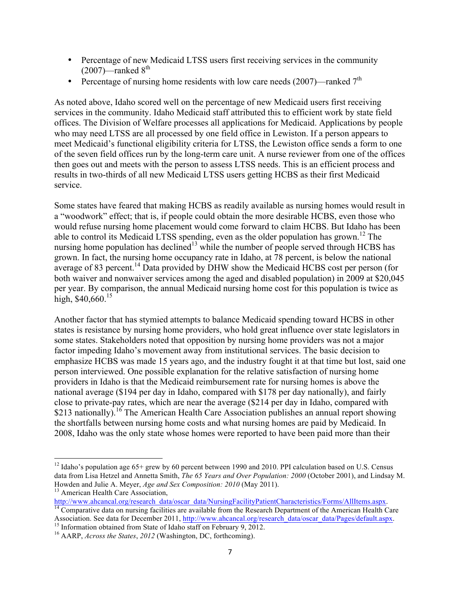- Percentage of new Medicaid LTSS users first receiving services in the community  $(2007)$ —ranked  $8<sup>th</sup>$
- Percentage of nursing home residents with low care needs  $(2007)$ —ranked  $7<sup>th</sup>$

As noted above, Idaho scored well on the percentage of new Medicaid users first receiving services in the community. Idaho Medicaid staff attributed this to efficient work by state field offices. The Division of Welfare processes all applications for Medicaid. Applications by people who may need LTSS are all processed by one field office in Lewiston. If a person appears to meet Medicaid's functional eligibility criteria for LTSS, the Lewiston office sends a form to one of the seven field offices run by the long-term care unit. A nurse reviewer from one of the offices then goes out and meets with the person to assess LTSS needs. This is an efficient process and results in two-thirds of all new Medicaid LTSS users getting HCBS as their first Medicaid service.

Some states have feared that making HCBS as readily available as nursing homes would result in a "woodwork" effect; that is, if people could obtain the more desirable HCBS, even those who would refuse nursing home placement would come forward to claim HCBS. But Idaho has been able to control its Medicaid LTSS spending, even as the older population has grown.<sup>12</sup> The nursing home population has declined<sup>13</sup> while the number of people served through HCBS has grown. In fact, the nursing home occupancy rate in Idaho, at 78 percent, is below the national average of 83 percent.<sup>14</sup> Data provided by DHW show the Medicaid HCBS cost per person (for both waiver and nonwaiver services among the aged and disabled population) in 2009 at \$20,045 per year. By comparison, the annual Medicaid nursing home cost for this population is twice as high, \$40,660.<sup>15</sup>

Another factor that has stymied attempts to balance Medicaid spending toward HCBS in other states is resistance by nursing home providers, who hold great influence over state legislators in some states. Stakeholders noted that opposition by nursing home providers was not a major factor impeding Idaho's movement away from institutional services. The basic decision to emphasize HCBS was made 15 years ago, and the industry fought it at that time but lost, said one person interviewed. One possible explanation for the relative satisfaction of nursing home providers in Idaho is that the Medicaid reimbursement rate for nursing homes is above the national average (\$194 per day in Idaho, compared with \$178 per day nationally), and fairly close to private-pay rates, which are near the average (\$214 per day in Idaho, compared with \$213 nationally).<sup>16</sup> The American Health Care Association publishes an annual report showing the shortfalls between nursing home costs and what nursing homes are paid by Medicaid. In 2008, Idaho was the only state whose homes were reported to have been paid more than their

http://www.ahcancal.org/research\_data/oscar\_data/NursingFacilityPatientCharacteristics/Forms/AllItems.aspx. 14 Comparative data on nursing facilities are available from the Research Department of the American Health Care

Association. See data for December 2011, http://www.ahcancal.org/research\_data/oscar\_data/Pages/default.aspx.<br><sup>15</sup> Information obtained from State of Idaho staff on February 9, 2012.<br><sup>16</sup> AARP, *Across the States*, 2012 (W

<sup>&</sup>lt;sup>12</sup> Idaho's population age  $65+$  grew by 60 percent between 1990 and 2010. PPI calculation based on U.S. Census data from Lisa Hetzel and Annetta Smith, *The 65 Years and Over Population: 2000* (October 2001), and Lindsay M. Howden and Julie A. Meyer, *Age and Sex Composition: <sup>2010</sup>* (May 2011). <sup>13</sup> American Health Care Association,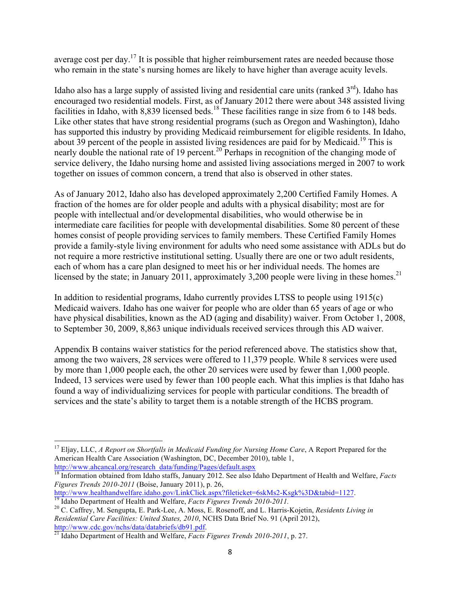average cost per day.<sup>17</sup> It is possible that higher reimbursement rates are needed because those who remain in the state's nursing homes are likely to have higher than average acuity levels.

Idaho also has a large supply of assisted living and residential care units (ranked  $3<sup>rd</sup>$ ). Idaho has encouraged two residential models. First, as of January 2012 there were about 348 assisted living facilities in Idaho, with 8,839 licensed beds.<sup>18</sup> These facilities range in size from 6 to 148 beds. Like other states that have strong residential programs (such as Oregon and Washington), Idaho has supported this industry by providing Medicaid reimbursement for eligible residents. In Idaho, about 39 percent of the people in assisted living residences are paid for by Medicaid.<sup>19</sup> This is nearly double the national rate of 19 percent.<sup>20</sup> Perhaps in recognition of the changing mode of service delivery, the Idaho nursing home and assisted living associations merged in 2007 to work together on issues of common concern, a trend that also is observed in other states.

As of January 2012, Idaho also has developed approximately 2,200 Certified Family Homes. A fraction of the homes are for older people and adults with a physical disability; most are for people with intellectual and/or developmental disabilities, who would otherwise be in intermediate care facilities for people with developmental disabilities. Some 80 percent of these homes consist of people providing services to family members. These Certified Family Homes provide a family-style living environment for adults who need some assistance with ADLs but do not require a more restrictive institutional setting. Usually there are one or two adult residents, each of whom has a care plan designed to meet his or her individual needs. The homes are licensed by the state; in January 2011, approximately 3,200 people were living in these homes.<sup>21</sup>

In addition to residential programs, Idaho currently provides LTSS to people using 1915(c) Medicaid waivers. Idaho has one waiver for people who are older than 65 years of age or who have physical disabilities, known as the AD (aging and disability) waiver. From October 1, 2008, to September 30, 2009, 8,863 unique individuals received services through this AD waiver.

Appendix B contains waiver statistics for the period referenced above. The statistics show that, among the two waivers, 28 services were offered to 11,379 people. While 8 services were used by more than 1,000 people each, the other 20 services were used by fewer than 1,000 people. Indeed, 13 services were used by fewer than 100 people each. What this implies is that Idaho has found a way of individualizing services for people with particular conditions. The breadth of services and the state's ability to target them is a notable strength of the HCBS program.

 <sup>17</sup> Eljay, LLC, *A Report on Shortfalls in Medicaid Funding for Nursing Home Care*, A Report Prepared for the American Health Care Association (Washington, DC, December 2010), table 1, http://www.ahcancal.org/research\_data/funding/Pages/default.aspx

<sup>18</sup> Information obtained from Idaho staffs, January 2012. See also Idaho Department of Health and Welfare, *Facts Figures Trends 2010-2011* (Boise, January 2011), p. 26,

http://www.healthandwelfare.idaho.gov/LinkClick.aspx?fileticket=6skMs2-Ksgk%3D&tabid=1127.<br><sup>19</sup> Idaho Department of Health and Welfare, *Facts Figures Trends 2010-2011*.<br><sup>20</sup> C. Caffrey, M. Sengupta, E. Park-Lee, A. Moss,

*Residential Care Facilities: United States, 2010*, NCHS Data Brief No. 91 (April 2012),

http://www.cdc.gov/nchs/data/databriefs/db91.pdf. <sup>21</sup> Idaho Department of Health and Welfare, *Facts Figures Trends 2010-2011*, p. 27.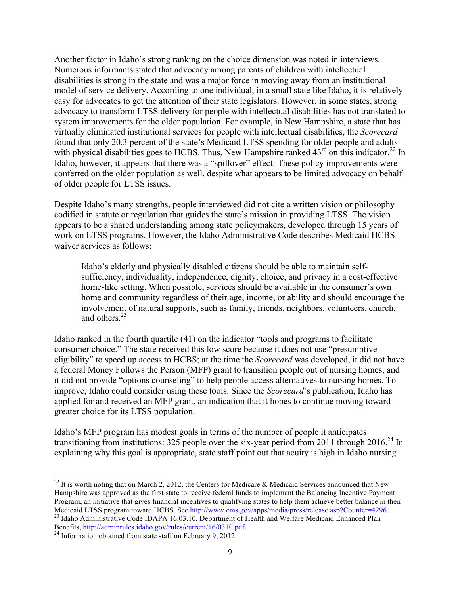Another factor in Idaho's strong ranking on the choice dimension was noted in interviews. Numerous informants stated that advocacy among parents of children with intellectual disabilities is strong in the state and was a major force in moving away from an institutional model of service delivery. According to one individual, in a small state like Idaho, it is relatively easy for advocates to get the attention of their state legislators. However, in some states, strong advocacy to transform LTSS delivery for people with intellectual disabilities has not translated to system improvements for the older population. For example, in New Hampshire, a state that has virtually eliminated institutional services for people with intellectual disabilities, the *Scorecard* found that only 20.3 percent of the state's Medicaid LTSS spending for older people and adults with physical disabilities goes to HCBS. Thus, New Hampshire ranked  $43<sup>rd</sup>$  on this indicator.<sup>22</sup> In Idaho, however, it appears that there was a "spillover" effect: These policy improvements were conferred on the older population as well, despite what appears to be limited advocacy on behalf of older people for LTSS issues.

Despite Idaho's many strengths, people interviewed did not cite a written vision or philosophy codified in statute or regulation that guides the state's mission in providing LTSS. The vision appears to be a shared understanding among state policymakers, developed through 15 years of work on LTSS programs. However, the Idaho Administrative Code describes Medicaid HCBS waiver services as follows:

Idaho's elderly and physically disabled citizens should be able to maintain selfsufficiency, individuality, independence, dignity, choice, and privacy in a cost-effective home-like setting. When possible, services should be available in the consumer's own home and community regardless of their age, income, or ability and should encourage the involvement of natural supports, such as family, friends, neighbors, volunteers, church, and others.23

Idaho ranked in the fourth quartile (41) on the indicator "tools and programs to facilitate consumer choice." The state received this low score because it does not use "presumptive eligibility" to speed up access to HCBS; at the time the *Scorecard* was developed, it did not have a federal Money Follows the Person (MFP) grant to transition people out of nursing homes, and it did not provide "options counseling" to help people access alternatives to nursing homes. To improve, Idaho could consider using these tools. Since the *Scorecard*'s publication, Idaho has applied for and received an MFP grant, an indication that it hopes to continue moving toward greater choice for its LTSS population.

Idaho's MFP program has modest goals in terms of the number of people it anticipates transitioning from institutions: 325 people over the six-year period from 2011 through  $2016.^{24}$  In explaining why this goal is appropriate, state staff point out that acuity is high in Idaho nursing

<sup>&</sup>lt;sup>22</sup> It is worth noting that on March 2, 2012, the Centers for Medicare & Medicaid Services announced that New Hampshire was approved as the first state to receive federal funds to implement the Balancing Incentive Payment Program, an initiative that gives financial incentives to qualifying states to help them achieve better balance in their<br>Medicaid LTSS program toward HCBS. See http://www.cms.gov/apps/media/press/release.asp?Counter=4296. <sup>23</sup> Idaho Administrative Code IDAPA 16.03.10, Department of Health and Welfare Medicaid Enhanced Plan

Benefits, http://adminrules.idaho.gov/rules/current/16/0310.pdf.<br><sup>24</sup> Information obtained from state staff on February 9, 2012.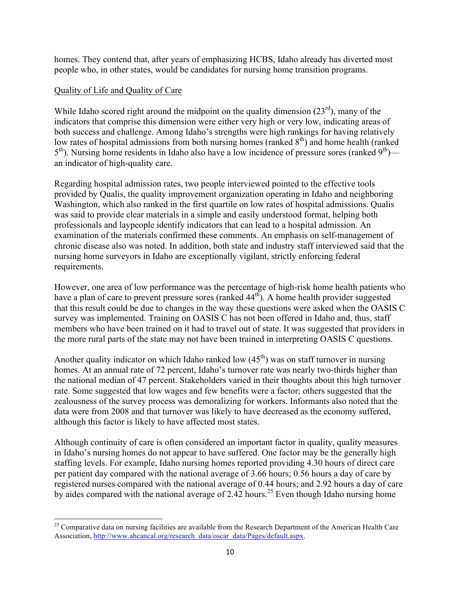homes. They contend that, after years of emphasizing HCBS, Idaho already has diverted most people who, in other states, would be candidates for nursing home transition programs.

#### Quality of Life and Quality of Care

While Idaho scored right around the midpoint on the quality dimension  $(23<sup>rd</sup>)$ , many of the indicators that comprise this dimension were either very high or very low, indicating areas of both success and challenge. Among Idaho's strengths were high rankings for having relatively low rates of hospital admissions from both nursing homes (ranked  $8<sup>th</sup>$ ) and home health (ranked  $5<sup>th</sup>$ ). Nursing home residents in Idaho also have a low incidence of pressure sores (ranked  $9<sup>th</sup>$ ) an indicator of high-quality care.

Regarding hospital admission rates, two people interviewed pointed to the effective tools provided by Qualis, the quality improvement organization operating in Idaho and neighboring Washington, which also ranked in the first quartile on low rates of hospital admissions. Qualis was said to provide clear materials in a simple and easily understood format, helping both professionals and laypeople identify indicators that can lead to a hospital admission. An examination of the materials confirmed these comments. An emphasis on self-management of chronic disease also was noted. In addition, both state and industry staff interviewed said that the nursing home surveyors in Idaho are exceptionally vigilant, strictly enforcing federal requirements.

However, one area of low performance was the percentage of high-risk home health patients who have a plan of care to prevent pressure sores (ranked  $44<sup>th</sup>$ ). A home health provider suggested that this result could be due to changes in the way these questions were asked when the OASIS C survey was implemented. Training on OASIS C has not been offered in Idaho and, thus, staff members who have been trained on it had to travel out of state. It was suggested that providers in the more rural parts of the state may not have been trained in interpreting OASIS C questions.

Another quality indicator on which Idaho ranked low  $(45<sup>th</sup>)$  was on staff turnover in nursing homes. At an annual rate of 72 percent, Idaho's turnover rate was nearly two-thirds higher than the national median of 47 percent. Stakeholders varied in their thoughts about this high turnover rate. Some suggested that low wages and few benefits were a factor; others suggested that the zealousness of the survey process was demoralizing for workers. Informants also noted that the data were from 2008 and that turnover was likely to have decreased as the economy suffered, although this factor is likely to have affected most states.

Although continuity of care is often considered an important factor in quality, quality measures in Idaho's nursing homes do not appear to have suffered. One factor may be the generally high staffing levels. For example, Idaho nursing homes reported providing 4.30 hours of direct care per patient day compared with the national average of 3.66 hours; 0.56 hours a day of care by registered nurses compared with the national average of 0.44 hours; and 2.92 hours a day of care by aides compared with the national average of 2.42 hours.<sup>25</sup> Even though Idaho nursing home

<sup>&</sup>lt;sup>25</sup> Comparative data on nursing facilities are available from the Research Department of the American Health Care Association, http://www.ahcancal.org/research\_data/oscar\_data/Pages/default.aspx.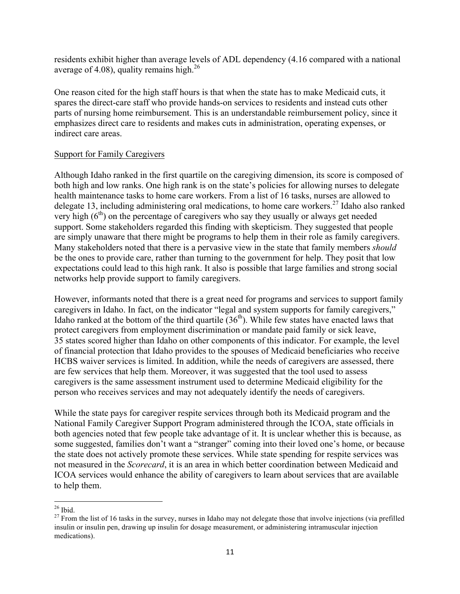residents exhibit higher than average levels of ADL dependency (4.16 compared with a national average of 4.08), quality remains high. $^{26}$ 

One reason cited for the high staff hours is that when the state has to make Medicaid cuts, it spares the direct-care staff who provide hands-on services to residents and instead cuts other parts of nursing home reimbursement. This is an understandable reimbursement policy, since it emphasizes direct care to residents and makes cuts in administration, operating expenses, or indirect care areas.

#### Support for Family Caregivers

Although Idaho ranked in the first quartile on the caregiving dimension, its score is composed of both high and low ranks. One high rank is on the state's policies for allowing nurses to delegate health maintenance tasks to home care workers. From a list of 16 tasks, nurses are allowed to delegate 13, including administering oral medications, to home care workers.<sup>27</sup> Idaho also ranked very high  $(6<sup>th</sup>)$  on the percentage of caregivers who say they usually or always get needed support. Some stakeholders regarded this finding with skepticism. They suggested that people are simply unaware that there might be programs to help them in their role as family caregivers. Many stakeholders noted that there is a pervasive view in the state that family members *should* be the ones to provide care, rather than turning to the government for help. They posit that low expectations could lead to this high rank. It also is possible that large families and strong social networks help provide support to family caregivers.

However, informants noted that there is a great need for programs and services to support family caregivers in Idaho. In fact, on the indicator "legal and system supports for family caregivers," Idaho ranked at the bottom of the third quartile  $(36<sup>th</sup>)$ . While few states have enacted laws that protect caregivers from employment discrimination or mandate paid family or sick leave, 35 states scored higher than Idaho on other components of this indicator. For example, the level of financial protection that Idaho provides to the spouses of Medicaid beneficiaries who receive HCBS waiver services is limited. In addition, while the needs of caregivers are assessed, there are few services that help them. Moreover, it was suggested that the tool used to assess caregivers is the same assessment instrument used to determine Medicaid eligibility for the person who receives services and may not adequately identify the needs of caregivers.

While the state pays for caregiver respite services through both its Medicaid program and the National Family Caregiver Support Program administered through the ICOA, state officials in both agencies noted that few people take advantage of it. It is unclear whether this is because, as some suggested, families don't want a "stranger" coming into their loved one's home, or because the state does not actively promote these services. While state spending for respite services was not measured in the *Scorecard*, it is an area in which better coordination between Medicaid and ICOA services would enhance the ability of caregivers to learn about services that are available to help them.

<sup>&</sup>lt;sup>26</sup> Ibid.<br><sup>27</sup> From the list of 16 tasks in the survey, nurses in Idaho may not delegate those that involve injections (via prefilled insulin or insulin pen, drawing up insulin for dosage measurement, or administering intramuscular injection medications).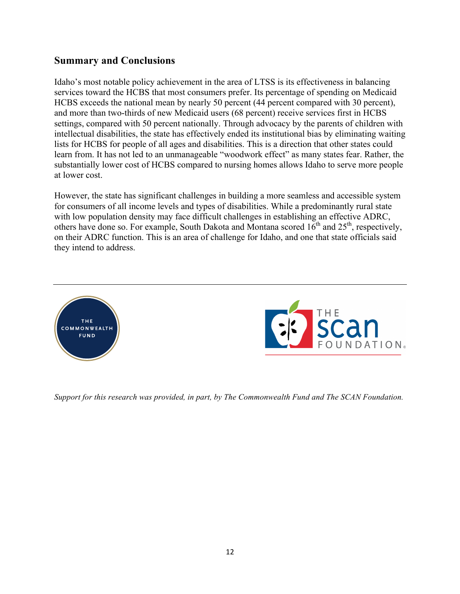### **Summary and Conclusions**

Idaho's most notable policy achievement in the area of LTSS is its effectiveness in balancing services toward the HCBS that most consumers prefer. Its percentage of spending on Medicaid HCBS exceeds the national mean by nearly 50 percent (44 percent compared with 30 percent), and more than two-thirds of new Medicaid users (68 percent) receive services first in HCBS settings, compared with 50 percent nationally. Through advocacy by the parents of children with intellectual disabilities, the state has effectively ended its institutional bias by eliminating waiting lists for HCBS for people of all ages and disabilities. This is a direction that other states could learn from. It has not led to an unmanageable "woodwork effect" as many states fear. Rather, the substantially lower cost of HCBS compared to nursing homes allows Idaho to serve more people at lower cost.

However, the state has significant challenges in building a more seamless and accessible system for consumers of all income levels and types of disabilities. While a predominantly rural state with low population density may face difficult challenges in establishing an effective ADRC, others have done so. For example, South Dakota and Montana scored  $16^{th}$  and  $25^{th}$ , respectively, on their ADRC function. This is an area of challenge for Idaho, and one that state officials said they intend to address.





*Support for this research was provided, in part, by The Commonwealth Fund and The SCAN Foundation.*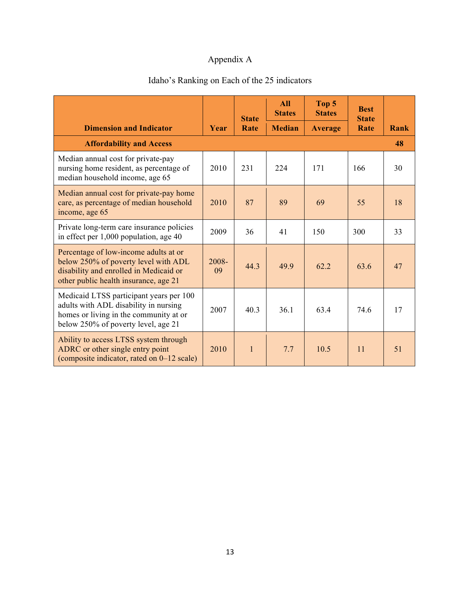## Appendix A

# Idaho's Ranking on Each of the 25 indicators

|                                                                                                                                                                   |             | <b>State</b> |               | Top 5<br><b>States</b> | <b>Best</b><br><b>State</b> |      |
|-------------------------------------------------------------------------------------------------------------------------------------------------------------------|-------------|--------------|---------------|------------------------|-----------------------------|------|
| <b>Dimension and Indicator</b>                                                                                                                                    | Year        | Rate         | <b>Median</b> | <b>Average</b>         | Rate                        | Rank |
| <b>Affordability and Access</b>                                                                                                                                   |             |              |               |                        |                             | 48   |
| Median annual cost for private-pay<br>nursing home resident, as percentage of<br>median household income, age 65                                                  | 2010        | 231          | 224           | 171                    | 166                         | 30   |
| Median annual cost for private-pay home<br>care, as percentage of median household<br>income, age 65                                                              | 2010        | 87           | 89            | 69                     | 55                          | 18   |
| Private long-term care insurance policies<br>in effect per $1,000$ population, age $40$                                                                           | 2009        | 36           | 41            | 150                    | 300                         | 33   |
| Percentage of low-income adults at or<br>below 250% of poverty level with ADL<br>disability and enrolled in Medicaid or<br>other public health insurance, age 21  | 2008-<br>09 | 44.3         | 49.9          | 62 2                   | 63.6                        | 47   |
| Medicaid LTSS participant years per 100<br>adults with ADL disability in nursing<br>homes or living in the community at or<br>below 250% of poverty level, age 21 | 2007        | 40.3         | 36.1          | 63.4                   | 74.6                        | 17   |
| Ability to access LTSS system through<br>ADRC or other single entry point<br>(composite indicator, rated on 0–12 scale)                                           | 2010        | $\mathbf{1}$ | 7.7           | 10.5                   | 11                          | 51   |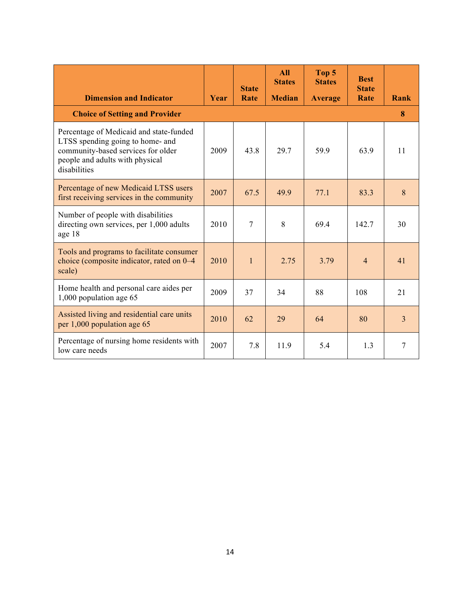|                                                                                                                                                                      |      | <b>State</b>   | <b>All</b><br><b>States</b> | Top 5<br><b>States</b> | <b>Best</b><br><b>State</b> |                |
|----------------------------------------------------------------------------------------------------------------------------------------------------------------------|------|----------------|-----------------------------|------------------------|-----------------------------|----------------|
| <b>Dimension and Indicator</b>                                                                                                                                       | Year | Rate           | <b>Median</b>               | <b>Average</b>         | Rate                        | Rank           |
| <b>Choice of Setting and Provider</b>                                                                                                                                |      |                |                             |                        |                             | 8              |
| Percentage of Medicaid and state-funded<br>LTSS spending going to home- and<br>community-based services for older<br>people and adults with physical<br>disabilities | 2009 | 43.8           | 29.7                        | 59.9                   | 63.9                        | 11             |
| Percentage of new Medicaid LTSS users<br>first receiving services in the community                                                                                   | 2007 | 67.5           | 499                         | 77.1                   | 83.3                        | 8              |
| Number of people with disabilities<br>directing own services, per 1,000 adults<br>age 18                                                                             | 2010 | $\overline{7}$ | 8                           | 69.4                   | 142.7                       | 30             |
| Tools and programs to facilitate consumer<br>choice (composite indicator, rated on 0-4<br>scale)                                                                     | 2010 | $\mathbf{1}$   | 2.75                        | 3.79                   | $\overline{4}$              | 41             |
| Home health and personal care aides per<br>1,000 population age 65                                                                                                   | 2009 | 37             | 34                          | 88                     | 108                         | 21             |
| Assisted living and residential care units<br>per 1,000 population age 65                                                                                            | 2010 | 62             | 29                          | 64                     | 80                          | $\overline{3}$ |
| Percentage of nursing home residents with<br>low care needs                                                                                                          | 2007 | 7.8            | 11.9                        | 5.4                    | 1.3                         | 7              |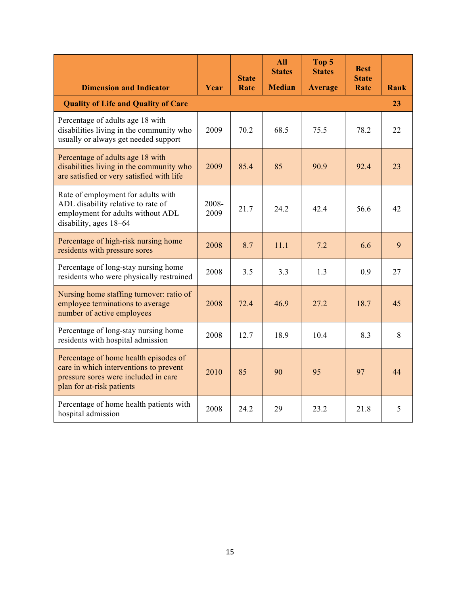|                                                                                                                                                      |               | <b>State</b> | <b>All</b><br><b>States</b> | Top 5<br><b>States</b> | <b>Best</b><br><b>State</b> |      |
|------------------------------------------------------------------------------------------------------------------------------------------------------|---------------|--------------|-----------------------------|------------------------|-----------------------------|------|
| <b>Dimension and Indicator</b>                                                                                                                       | Year          | Rate         | <b>Median</b>               | <b>Average</b>         | Rate                        | Rank |
| <b>Quality of Life and Quality of Care</b>                                                                                                           |               |              |                             |                        |                             | 23   |
| Percentage of adults age 18 with<br>disabilities living in the community who<br>usually or always get needed support                                 | 2009          | 70.2         | 68.5                        | 75.5                   | 78.2                        | 22   |
| Percentage of adults age 18 with<br>disabilities living in the community who<br>are satisfied or very satisfied with life                            | 2009          | 85.4         | 85                          | 90.9                   | 92.4                        | 23   |
| Rate of employment for adults with<br>ADL disability relative to rate of<br>employment for adults without ADL<br>disability, ages 18-64              | 2008-<br>2009 | 21.7         | 24.2                        | 42.4                   | 56.6                        | 42   |
| Percentage of high-risk nursing home<br>residents with pressure sores                                                                                | 2008          | 8.7          | 11.1                        | 7.2                    | 6.6                         | 9    |
| Percentage of long-stay nursing home<br>residents who were physically restrained                                                                     | 2008          | 3.5          | 3.3                         | 1.3                    | 0.9                         | 27   |
| Nursing home staffing turnover: ratio of<br>employee terminations to average<br>number of active employees                                           | 2008          | 72.4         | 46.9                        | 27.2                   | 18.7                        | 45   |
| Percentage of long-stay nursing home<br>residents with hospital admission                                                                            | 2008          | 12.7         | 18.9                        | 10.4                   | 8.3                         | 8    |
| Percentage of home health episodes of<br>care in which interventions to prevent<br>pressure sores were included in care<br>plan for at-risk patients | 2010          | 85           | 90                          | 95                     | 97                          | 44   |
| Percentage of home health patients with<br>hospital admission                                                                                        | 2008          | 24.2         | 29                          | 23.2                   | 21.8                        | 5    |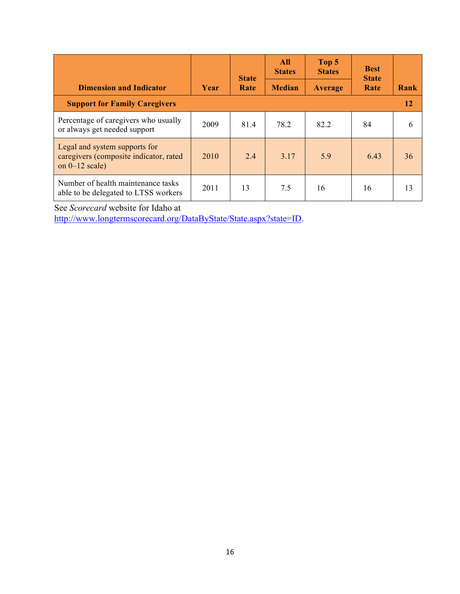| <b>Dimension and Indicator</b>                                                              | Year | <b>State</b><br>Rate | <b>All</b><br><b>States</b><br><b>Median</b> | Top 5<br><b>States</b><br><b>Average</b> | <b>Best</b><br><b>State</b><br>Rate | Rank |
|---------------------------------------------------------------------------------------------|------|----------------------|----------------------------------------------|------------------------------------------|-------------------------------------|------|
| <b>Support for Family Caregivers</b>                                                        |      |                      |                                              |                                          |                                     | 12   |
| Percentage of caregivers who usually<br>or always get needed support                        | 2009 | 81.4                 | 78.2                                         | 82.2                                     | 84                                  | 6    |
| Legal and system supports for<br>caregivers (composite indicator, rated<br>on $0-12$ scale) | 2010 | 2.4                  | 3.17                                         | 5.9                                      | 6.43                                | 36   |
| Number of health maintenance tasks<br>able to be delegated to LTSS workers                  | 2011 | 13                   | 7.5                                          | 16                                       | 16                                  | 13   |

See *Scorecard* website for Idaho at

http://www.longtermscorecard.org/DataByState/State.aspx?state=ID.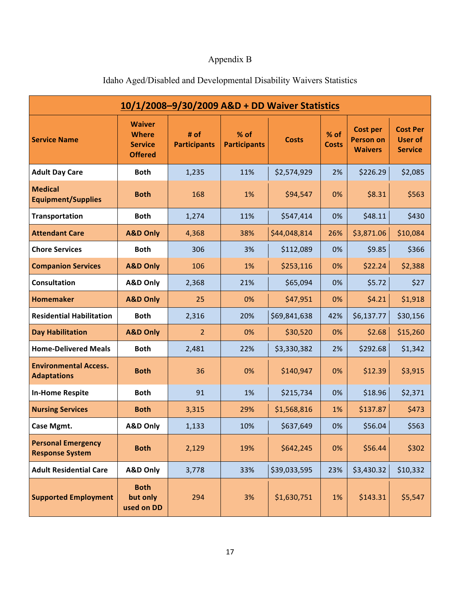# Appendix B

| 10/1/2008-9/30/2009 A&D + DD Waiver Statistics      |                                                                   |                             |                               |              |                      |                                                       |                                                     |  |  |
|-----------------------------------------------------|-------------------------------------------------------------------|-----------------------------|-------------------------------|--------------|----------------------|-------------------------------------------------------|-----------------------------------------------------|--|--|
| <b>Service Name</b>                                 | <b>Waiver</b><br><b>Where</b><br><b>Service</b><br><b>Offered</b> | # of<br><b>Participants</b> | $%$ of<br><b>Participants</b> | <b>Costs</b> | % of<br><b>Costs</b> | <b>Cost per</b><br><b>Person on</b><br><b>Waivers</b> | <b>Cost Per</b><br><b>User of</b><br><b>Service</b> |  |  |
| <b>Adult Day Care</b>                               | <b>Both</b>                                                       | 1,235                       | 11%                           | \$2,574,929  | 2%                   | \$226.29                                              | \$2,085                                             |  |  |
| <b>Medical</b><br><b>Equipment/Supplies</b>         | <b>Both</b>                                                       | 168                         | 1%                            | \$94,547     | 0%                   | \$8.31                                                | \$563                                               |  |  |
| Transportation                                      | <b>Both</b>                                                       | 1,274                       | 11%                           | \$547,414    | 0%                   | \$48.11                                               | \$430                                               |  |  |
| <b>Attendant Care</b>                               | <b>A&amp;D Only</b>                                               | 4,368                       | 38%                           | \$44,048,814 | 26%                  | \$3,871.06                                            | \$10,084                                            |  |  |
| <b>Chore Services</b>                               | <b>Both</b>                                                       | 306                         | 3%                            | \$112,089    | 0%                   | \$9.85                                                | \$366                                               |  |  |
| <b>Companion Services</b>                           | <b>A&amp;D Only</b>                                               | 106                         | 1%                            | \$253,116    | 0%                   | \$22.24                                               | \$2,388                                             |  |  |
| <b>Consultation</b>                                 | <b>A&amp;D Only</b>                                               | 2,368                       | 21%                           | \$65,094     | 0%                   | \$5.72                                                | \$27                                                |  |  |
| <b>Homemaker</b>                                    | <b>A&amp;D Only</b>                                               | 25                          | 0%                            | \$47,951     | 0%                   | \$4.21                                                | \$1,918                                             |  |  |
| <b>Residential Habilitation</b>                     | <b>Both</b>                                                       | 2,316                       | 20%                           | \$69,841,638 | 42%                  | \$6,137.77                                            | \$30,156                                            |  |  |
| <b>Day Habilitation</b>                             | <b>A&amp;D Only</b>                                               | $\overline{2}$              | 0%                            | \$30,520     | 0%                   | \$2.68                                                | \$15,260                                            |  |  |
| <b>Home-Delivered Meals</b>                         | <b>Both</b>                                                       | 2,481                       | 22%                           | \$3,330,382  | 2%                   | \$292.68                                              | \$1,342                                             |  |  |
| <b>Environmental Access.</b><br><b>Adaptations</b>  | <b>Both</b>                                                       | 36                          | 0%                            | \$140,947    | 0%                   | \$12.39                                               | \$3,915                                             |  |  |
| <b>In-Home Respite</b>                              | <b>Both</b>                                                       | 91                          | 1%                            | \$215,734    | 0%                   | \$18.96                                               | \$2,371                                             |  |  |
| <b>Nursing Services</b>                             | <b>Both</b>                                                       | 3,315                       | 29%                           | \$1,568,816  | 1%                   | \$137.87                                              | \$473                                               |  |  |
| Case Mgmt.                                          | <b>A&amp;D Only</b>                                               | 1,133                       | 10%                           | \$637,649    | 0%                   | \$56.04                                               | \$563                                               |  |  |
| <b>Personal Emergency</b><br><b>Response System</b> | <b>Both</b>                                                       | 2,129                       | 19%                           | \$642,245    | 0%                   | \$56.44                                               | \$302                                               |  |  |
| <b>Adult Residential Care</b>                       | <b>A&amp;D Only</b>                                               | 3,778                       | 33%                           | \$39,033,595 | 23%                  | \$3,430.32                                            | \$10,332                                            |  |  |
| <b>Supported Employment</b>                         | <b>Both</b><br>but only<br>used on DD                             | 294                         | 3%                            | \$1,630,751  | 1%                   | \$143.31                                              | \$5,547                                             |  |  |

## Idaho Aged/Disabled and Developmental Disability Waivers Statistics